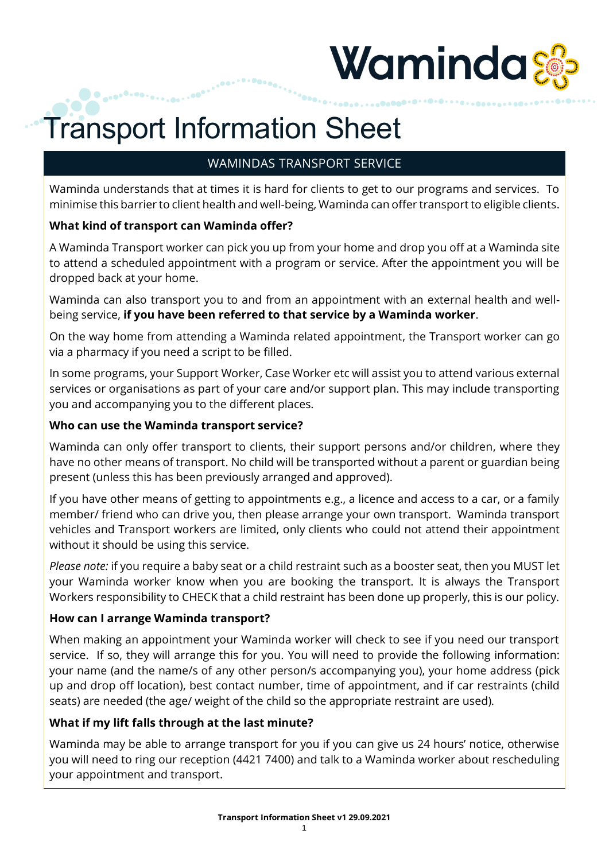

# Transport Information Sheet

## WAMINDAS TRANSPORT SERVICE

Waminda understands that at times it is hard for clients to get to our programs and services. To minimise this barrier to client health and well-being, Waminda can offer transport to eligible clients.

#### **What kind of transport can Waminda offer?**

A Waminda Transport worker can pick you up from your home and drop you off at a Waminda site to attend a scheduled appointment with a program or service. After the appointment you will be dropped back at your home.

Waminda can also transport you to and from an appointment with an external health and wellbeing service, **if you have been referred to that service by a Waminda worker**.

On the way home from attending a Waminda related appointment, the Transport worker can go via a pharmacy if you need a script to be filled.

In some programs, your Support Worker, Case Worker etc will assist you to attend various external services or organisations as part of your care and/or support plan. This may include transporting you and accompanying you to the different places.

#### **Who can use the Waminda transport service?**

Waminda can only offer transport to clients, their support persons and/or children, where they have no other means of transport. No child will be transported without a parent or guardian being present (unless this has been previously arranged and approved).

If you have other means of getting to appointments e.g., a licence and access to a car, or a family member/ friend who can drive you, then please arrange your own transport. Waminda transport vehicles and Transport workers are limited, only clients who could not attend their appointment without it should be using this service.

*Please note:* if you require a baby seat or a child restraint such as a booster seat, then you MUST let your Waminda worker know when you are booking the transport. It is always the Transport Workers responsibility to CHECK that a child restraint has been done up properly, this is our policy.

#### **How can I arrange Waminda transport?**

When making an appointment your Waminda worker will check to see if you need our transport service. If so, they will arrange this for you. You will need to provide the following information: your name (and the name/s of any other person/s accompanying you), your home address (pick up and drop off location), best contact number, time of appointment, and if car restraints (child seats) are needed (the age/ weight of the child so the appropriate restraint are used).

#### **What if my lift falls through at the last minute?**

Waminda may be able to arrange transport for you if you can give us 24 hours' notice, otherwise you will need to ring our reception (4421 7400) and talk to a Waminda worker about rescheduling your appointment and transport.